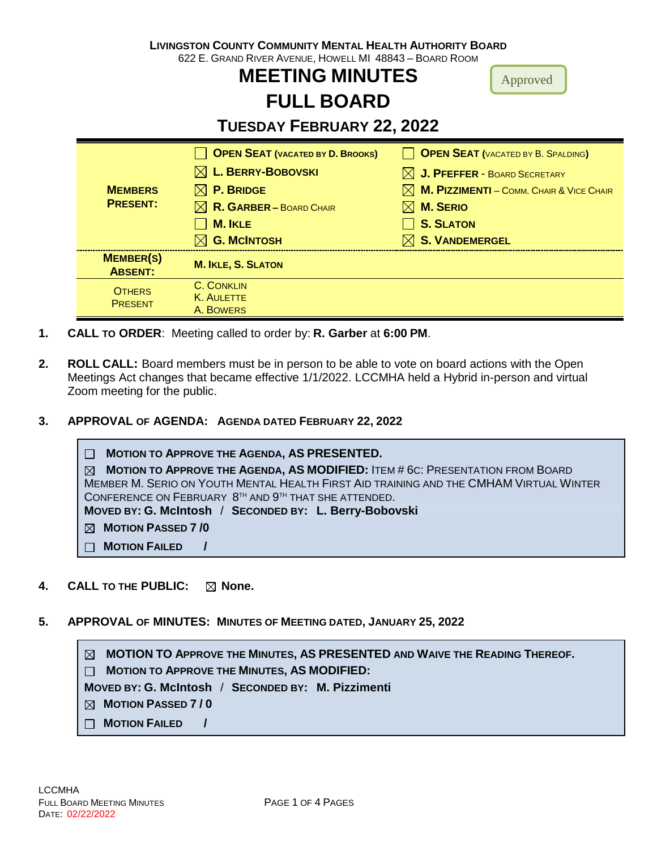| <b>LIVINGSTON COUNTY COMMUNITY MENTAL HEALTH AUTHORITY BOARD</b><br>622 E. GRAND RIVER AVENUE, HOWELL MI 48843 - BOARD ROOM<br><b>MEETING MINUTES</b><br>Approved<br><b>FULL BOARD</b> |  |  |  |  |  |  |
|----------------------------------------------------------------------------------------------------------------------------------------------------------------------------------------|--|--|--|--|--|--|
| <b>TUESDAY FEBRUARY 22, 2022</b>                                                                                                                                                       |  |  |  |  |  |  |
| <b>OPEN SEAT (VACATED BY B. SPALDING)</b><br><b>OPEN SEAT (VACATED BY D. BROOKS)</b>                                                                                                   |  |  |  |  |  |  |
| $\boxtimes$ L. BERRY-BOBOVSKI<br>$\boxtimes$ J. PFEFFER - BOARD SECRETARY                                                                                                              |  |  |  |  |  |  |
| <b>MEMBERS</b><br><b>P. BRIDGE</b><br><b>M. PIZZIMENTI - COMM. CHAIR &amp; VICE CHAIR</b>                                                                                              |  |  |  |  |  |  |
| <b>PRESENT:</b><br>R. GARBER - BOARD CHAIR<br><b>M. SERIO</b><br>IXL                                                                                                                   |  |  |  |  |  |  |
| <b>M. IKLE</b><br><b>S. SLATON</b>                                                                                                                                                     |  |  |  |  |  |  |
| <b>G. MCINTOSH</b><br><b>S. VANDEMERGEL</b>                                                                                                                                            |  |  |  |  |  |  |
| <b>MEMBER(S)</b><br><b>M. IKLE, S. SLATON</b><br><b>ABSENT:</b>                                                                                                                        |  |  |  |  |  |  |
| <b>C. CONKLIN</b><br><b>OTHERS</b>                                                                                                                                                     |  |  |  |  |  |  |
| <b>K. AULETTE</b><br><b>PRESENT</b><br>A. BOWERS                                                                                                                                       |  |  |  |  |  |  |

- **1. CALL TO ORDER**: Meeting called to order by: **R. Garber** at **6:00 PM**.
- **2. ROLL CALL:** Board members must be in person to be able to vote on board actions with the Open Meetings Act changes that became effective 1/1/2022. LCCMHA held a Hybrid in-person and virtual Zoom meeting for the public.
- **3. APPROVAL OF AGENDA: AGENDA DATED FEBRUARY 22, 2022**

 **MOTION TO APPROVE THE AGENDA, AS PRESENTED. MOTION TO APPROVE THE AGENDA, AS MODIFIED:** ITEM # 6C: PRESENTATION FROM BOARD MEMBER M. SERIO ON YOUTH MENTAL HEALTH FIRST AID TRAINING AND THE CMHAM VIRTUAL WINTER CONFERENCE ON FEBRUARY  $8^{TH}$  and  $9^{TH}$  that she attended. **MOVED BY: G. McIntosh** / **SECONDED BY: L. Berry-Bobovski MOTION PASSED 7 /0 MOTION FAILED /**

- **4. CALL TO THE PUBLIC:**  $\boxtimes$  **None.**
- **5. APPROVAL OF MINUTES: MINUTES OF MEETING DATED, JANUARY 25, 2022**

 **MOTION TO APPROVE THE MINUTES, AS PRESENTED AND WAIVE THE READING THEREOF.**

 **MOTION TO APPROVE THE MINUTES, AS MODIFIED:** 

**MOVED BY: G. McIntosh** / **SECONDED BY: M. Pizzimenti**

 **MOTION PASSED 7 / 0**

 **MOTION FAILED /**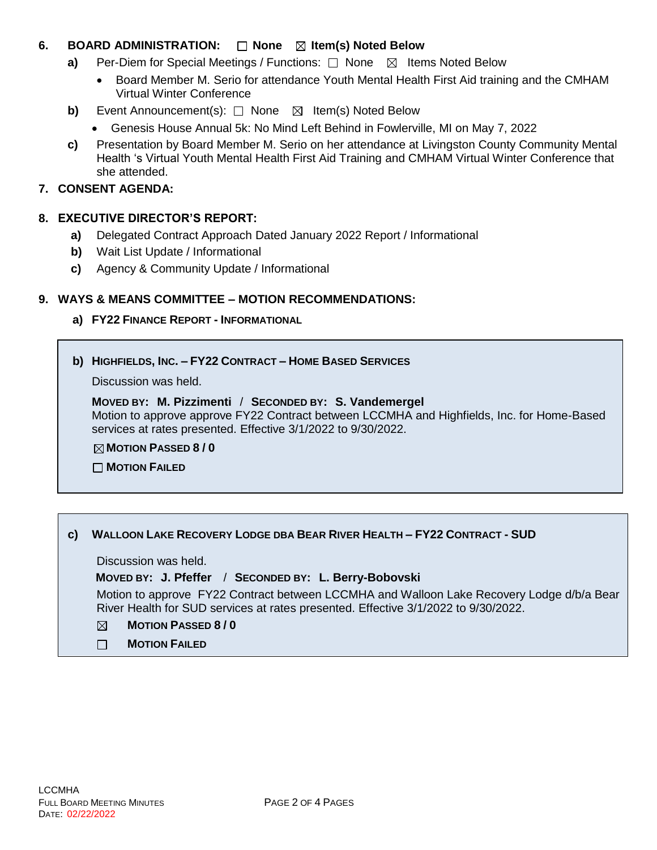# **6. BOARD ADMINISTRATION:** □ None ⊠ Item(s) Noted Below

- **a)** Per-Diem for Special Meetings / Functions:  $\Box$  None  $\boxtimes$  Items Noted Below
	- Board Member M. Serio for attendance Youth Mental Health First Aid training and the CMHAM Virtual Winter Conference
- **b)** Event Announcement(s): □ None ⊠ Item(s) Noted Below
	- Genesis House Annual 5k: No Mind Left Behind in Fowlerville, MI on May 7, 2022
- **c)** Presentation by Board Member M. Serio on her attendance at Livingston County Community Mental Health 's Virtual Youth Mental Health First Aid Training and CMHAM Virtual Winter Conference that she attended.

## **7. CONSENT AGENDA:**

## **8. EXECUTIVE DIRECTOR'S REPORT:**

- **a)** Delegated Contract Approach Dated January 2022 Report / Informational
- **b)** Wait List Update / Informational
- **c)** Agency & Community Update / Informational

## **9. WAYS & MEANS COMMITTEE – MOTION RECOMMENDATIONS:**

**a) FY22 FINANCE REPORT - INFORMATIONAL**

## **b) HIGHFIELDS, INC. – FY22 CONTRACT – HOME BASED SERVICES**

Discussion was held.

**MOVED BY: M. Pizzimenti** / **SECONDED BY: S. Vandemergel** Motion to approve approve FY22 Contract between LCCMHA and Highfields, Inc. for Home-Based services at rates presented. Effective 3/1/2022 to 9/30/2022.

**MOTION PASSED 8 / 0**

**MOTION FAILED**

## **c) WALLOON LAKE RECOVERY LODGE DBA BEAR RIVER HEALTH – FY22 CONTRACT - SUD**

Discussion was held.

## **MOVED BY: J. Pfeffer** / **SECONDED BY: L. Berry-Bobovski**

Motion to approve FY22 Contract between LCCMHA and Walloon Lake Recovery Lodge d/b/a Bear River Health for SUD services at rates presented. Effective 3/1/2022 to 9/30/2022.

- **MOTION PASSED 8 / 0** ⊠
- **MOTION FAILED**  $\Box$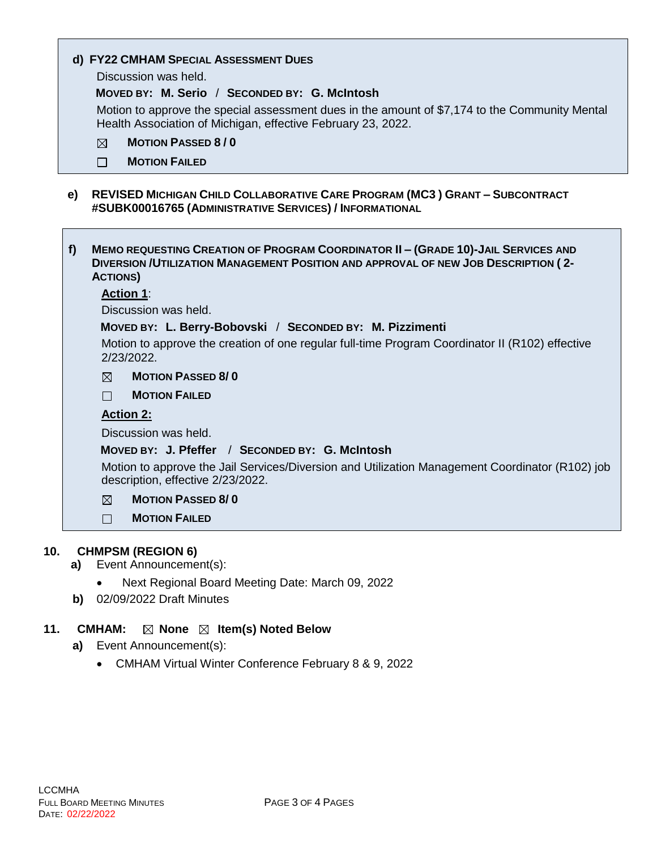|  |  |  |  | d) FY22 CMHAM SPECIAL ASSESSMENT DUES |  |
|--|--|--|--|---------------------------------------|--|
|--|--|--|--|---------------------------------------|--|

Discussion was held.

#### **MOVED BY: M. Serio** / **SECONDED BY: G. McIntosh**

Motion to approve the special assessment dues in the amount of \$7,174 to the Community Mental Health Association of Michigan, effective February 23, 2022.

- **MOTION PASSED 8 / 0**  $\boxtimes$
- $\Box$ **MOTION FAILED**
- **e) REVISED MICHIGAN CHILD COLLABORATIVE CARE PROGRAM (MC3 ) GRANT – SUBCONTRACT #SUBK00016765 (ADMINISTRATIVE SERVICES) / INFORMATIONAL**
- **f) MEMO REQUESTING CREATION OF PROGRAM COORDINATOR II – (GRADE 10)-JAIL SERVICES AND DIVERSION /UTILIZATION MANAGEMENT POSITION AND APPROVAL OF NEW JOB DESCRIPTION ( 2- ACTIONS)**

## **Action 1**:

Discussion was held.

#### **MOVED BY: L. Berry-Bobovski** / **SECONDED BY: M. Pizzimenti**

Motion to approve the creation of one regular full-time Program Coordinator II (R102) effective 2/23/2022.

 $\boxtimes$ **MOTION PASSED 8/ 0**

 $\Box$ **MOTION FAILED**

#### **Action 2:**

Discussion was held.

## **MOVED BY: J. Pfeffer** / **SECONDED BY: G. McIntosh**

Motion to approve the Jail Services/Diversion and Utilization Management Coordinator (R102) job description, effective 2/23/2022.

 $\boxtimes$ **MOTION PASSED 8/ 0**

 $\Box$ **MOTION FAILED**

## **10. CHMPSM (REGION 6)**

- **a)** Event Announcement(s):
	- Next Regional Board Meeting Date: March 09, 2022
- **b)** 02/09/2022 Draft Minutes

## **11. CMHAM:**  $\boxtimes$  **None**  $\boxtimes$  **Item(s) Noted Below**

- **a)** Event Announcement(s):
	- CMHAM Virtual Winter Conference February 8 & 9, 2022